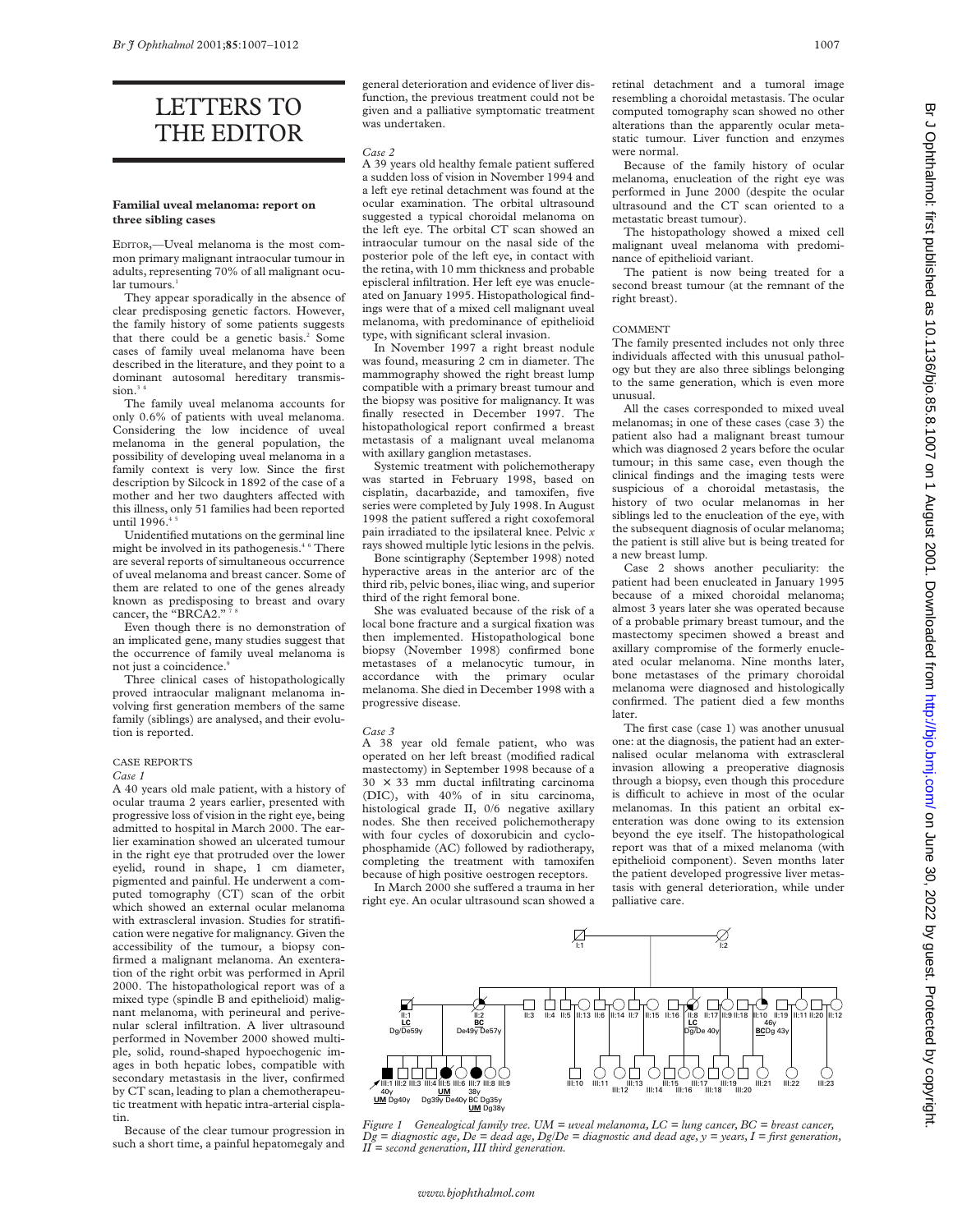# LETTERS TO THE EDITOR

# **Familial uveal melanoma: report on three sibling cases**

EDITOR,—Uveal melanoma is the most common primary malignant intraocular tumour in adults, representing 70% of all malignant ocular tumours.<sup>1</sup>

They appear sporadically in the absence of clear predisposing genetic factors. However, the family history of some patients suggests that there could be a genetic basis.<sup>2</sup> Some cases of family uveal melanoma have been described in the literature, and they point to a dominant autosomal hereditary transmission. $34$ 

The family uveal melanoma accounts for only 0.6% of patients with uveal melanoma. Considering the low incidence of uveal melanoma in the general population, the possibility of developing uveal melanoma in a family context is very low. Since the first description by Silcock in 1892 of the case of a mother and her two daughters affected with this illness, only 51 families had been reported until 1996.<sup>45</sup>

Unidentified mutations on the germinal line might be involved in its pathogenesis.<sup>46</sup> There are several reports of simultaneous occurrence of uveal melanoma and breast cancer. Some of them are related to one of the genes already known as predisposing to breast and ovary cancer, the "BRCA2."<sup>7</sup>

Even though there is no demonstration of an implicated gene, many studies suggest that the occurrence of family uveal melanoma is not just a coincidence.<sup>9</sup>

Three clinical cases of histopathologically proved intraocular malignant melanoma involving first generation members of the same family (siblings) are analysed, and their evolution is reported.

# CASE REPORTS

*Case 1*

A 40 years old male patient, with a history of ocular trauma 2 years earlier, presented with progressive loss of vision in the right eye, being admitted to hospital in March 2000. The earlier examination showed an ulcerated tumour in the right eye that protruded over the lower eyelid, round in shape, 1 cm diameter, pigmented and painful. He underwent a computed tomography (CT) scan of the orbit which showed an external ocular melanoma with extrascleral invasion. Studies for stratification were negative for malignancy. Given the accessibility of the tumour, a biopsy confirmed a malignant melanoma. An exenteration of the right orbit was performed in April 2000. The histopathological report was of a mixed type (spindle B and epithelioid) malignant melanoma, with perineural and perivenular scleral infiltration. A liver ultrasound performed in November 2000 showed multiple, solid, round-shaped hypoechogenic images in both hepatic lobes, compatible with secondary metastasis in the liver, confirmed by CT scan, leading to plan a chemotherapeutic treatment with hepatic intra-arterial cisplatin.

Because of the clear tumour progression in such a short time, a painful hepatomegaly and general deterioration and evidence of liver disfunction, the previous treatment could not be given and a palliative symptomatic treatment was undertaken.

## *Case 2*

A 39 years old healthy female patient suffered a sudden loss of vision in November 1994 and a left eye retinal detachment was found at the ocular examination. The orbital ultrasound suggested a typical choroidal melanoma on the left eye. The orbital CT scan showed an intraocular tumour on the nasal side of the posterior pole of the left eye, in contact with the retina, with 10 mm thickness and probable episcleral infiltration. Her left eye was enucleated on January 1995. Histopathological findings were that of a mixed cell malignant uveal melanoma, with predominance of epithelioid type, with significant scleral invasion.

In November 1997 a right breast nodule was found, measuring 2 cm in diameter. The mammography showed the right breast lump compatible with a primary breast tumour and the biopsy was positive for malignancy. It was finally resected in December 1997. The histopathological report confirmed a breast metastasis of a malignant uveal melanoma with axillary ganglion metastases.

Systemic treatment with polichemotherapy was started in February 1998, based on cisplatin, dacarbazide, and tamoxifen, five series were completed by July 1998. In August 1998 the patient suffered a right coxofemoral pain irradiated to the ipsilateral knee. Pelvic *x* rays showed multiple lytic lesions in the pelvis.

Bone scintigraphy (September 1998) noted hyperactive areas in the anterior arc of the third rib, pelvic bones, iliac wing, and superior third of the right femoral bone.

She was evaluated because of the risk of a local bone fracture and a surgical fixation was then implemented. Histopathological bone biopsy (November 1998) confirmed bone metastases of a melanocytic tumour, in accordance with the primary ocular melanoma. She died in December 1998 with a progressive disease.

#### *Case 3*

A 38 year old female patient, who was operated on her left breast (modified radical mastectomy) in September 1998 because of a  $30 \times 33$  mm ductal infiltrating carcinoma (DIC), with 40% of in situ carcinoma, histological grade II, 0/6 negative axillary nodes. She then received polichemotherapy with four cycles of doxorubicin and cyclophosphamide (AC) followed by radiotherapy, completing the treatment with tamoxifen because of high positive oestrogen receptors.

In March 2000 she suffered a trauma in her right eye. An ocular ultrasound scan showed a retinal detachment and a tumoral image resembling a choroidal metastasis. The ocular computed tomography scan showed no other alterations than the apparently ocular metastatic tumour. Liver function and enzymes were normal.

Because of the family history of ocular melanoma, enucleation of the right eye was performed in June 2000 (despite the ocular ultrasound and the CT scan oriented to a metastatic breast tumour).

The histopathology showed a mixed cell malignant uveal melanoma with predominance of epithelioid variant.

The patient is now being treated for a second breast tumour (at the remnant of the right breast).

## COMMENT

The family presented includes not only three individuals affected with this unusual pathology but they are also three siblings belonging to the same generation, which is even more unusual.

All the cases corresponded to mixed uveal melanomas; in one of these cases (case 3) the patient also had a malignant breast tumour which was diagnosed 2 years before the ocular tumour; in this same case, even though the clinical findings and the imaging tests were suspicious of a choroidal metastasis, the history of two ocular melanomas in her siblings led to the enucleation of the eye, with the subsequent diagnosis of ocular melanoma; the patient is still alive but is being treated for a new breast lump.

Case 2 shows another peculiarity: the patient had been enucleated in January 1995 because of a mixed choroidal melanoma; almost 3 years later she was operated because of a probable primary breast tumour, and the mastectomy specimen showed a breast and axillary compromise of the formerly enucleated ocular melanoma. Nine months later, bone metastases of the primary choroidal melanoma were diagnosed and histologically confirmed. The patient died a few months later.

The first case (case 1) was another unusual one: at the diagnosis, the patient had an externalised ocular melanoma with extrascleral invasion allowing a preoperative diagnosis through a biopsy, even though this procedure is difficult to achieve in most of the ocular melanomas. In this patient an orbital exenteration was done owing to its extension beyond the eye itself. The histopathological report was that of a mixed melanoma (with epithelioid component). Seven months later the patient developed progressive liver metastasis with general deterioration, while under palliative care.



*Figure 1 Genealogical family tree. UM = uveal melanoma, LC = lung cancer, BC = breast cancer, Dg = diagnostic age, De = dead age, Dg/De = diagnostic and dead age, y = years, I = first generation, II = second generation, III third generation.*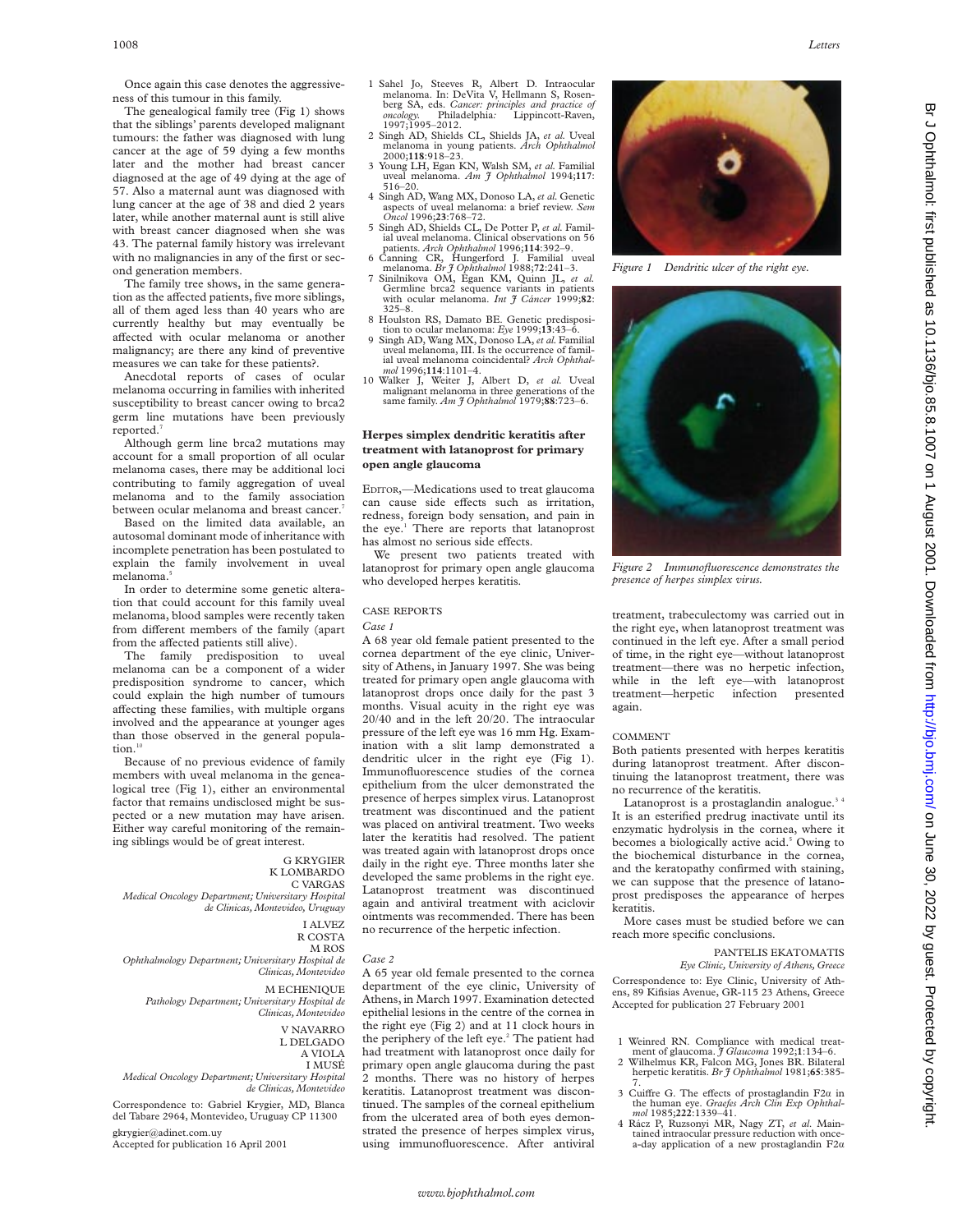Once again this case denotes the aggressiveness of this tumour in this family.

The genealogical family tree (Fig 1) shows that the siblings' parents developed malignant tumours: the father was diagnosed with lung cancer at the age of 59 dying a few months later and the mother had breast cancer diagnosed at the age of 49 dying at the age of 57. Also a maternal aunt was diagnosed with lung cancer at the age of 38 and died 2 years later, while another maternal aunt is still alive with breast cancer diagnosed when she was 43. The paternal family history was irrelevant with no malignancies in any of the first or second generation members.

The family tree shows, in the same generation as the affected patients, five more siblings, all of them aged less than 40 years who are currently healthy but may eventually be affected with ocular melanoma or another malignancy; are there any kind of preventive measures we can take for these patients?.

Anecdotal reports of cases of ocular melanoma occurring in families with inherited susceptibility to breast cancer owing to brca2 germ line mutations have been previously reported.

Although germ line brca2 mutations may account for a small proportion of all ocular melanoma cases, there may be additional loci contributing to family aggregation of uveal melanoma and to the family association between ocular melanoma and breast cancer.<sup>7</sup>

Based on the limited data available, an autosomal dominant mode of inheritance with incomplete penetration has been postulated to explain the family involvement in uveal melanoma.<sup>5</sup>

In order to determine some genetic alteration that could account for this family uveal melanoma, blood samples were recently taken from different members of the family (apart from the affected patients still alive).

The family predisposition to uveal melanoma can be a component of a wider predisposition syndrome to cancer, which could explain the high number of tumours affecting these families, with multiple organs involved and the appearance at younger ages than those observed in the general popula $tion.<sup>1</sup>$ 

Because of no previous evidence of family members with uveal melanoma in the genealogical tree (Fig 1), either an environmental factor that remains undisclosed might be suspected or a new mutation may have arisen. Either way careful monitoring of the remaining siblings would be of great interest.

## G KRYGIER K LOMBARDO

C VARGAS *Medical Oncology Department; Universitary Hospital de Clinicas, Montevideo, Uruguay*

I ALVEZ

R COSTA

M ROS *Ophthalmology Department; Universitary Hospital de Clinicas, Montevideo*

M ECHENIQUE *Pathology Department; Universitary Hospital de*

*Clinicas, Montevideo* V NAVARRO

L DELGADO A VIOLA

I MUSÉ

*Medical Oncology Department; Universitary Hospital de Clinicas, Montevideo*

Correspondence to: Gabriel Krygier, MD, Blanca del Tabare 2964, Montevideo, Uruguay CP 11300 gkrygier@adinet.com.uy

Accepted for publication 16 April 2001

- 1 Sahel Jo, Steeves R, Albert D. Intraocular melanoma. In: DeVita V, Hellmann S, Rosenberg SA, eds. *Cancer: principles and practice of oncology.* Philadelphia*:* Lippincott-Raven, *oncology*. Philac<br>1997:1995–2012.
- 2 Singh AD, Shields CL, Shields JA, *et al.* Uveal melanoma in young patients. *Arch Ophthalmol* 2000;**118**:918–23.
- 3 Young LH, Egan KN, Walsh SM, *et al.* Familial uveal melanoma. *Am J Ophthalmol* 1994;**117**: 516–20.
- 4 Singh AD, Wang MX, Donoso LA, *et al.* Genetic aspects of uveal melanoma: a brief review. *Sem Oncol* 1996;**23**:768–72. 5 Singh AD, Shields CL, De Potter P, *et al.* Famil-
- ial uveal melanoma. Clinical observations on 56 patients. *Arch Ophthalmol* 1996;**114**:392–9.
- 6 Canning CR, Hungerford J. Familial uveal<br>melanoma. Br  $\tilde{f}$  Ophthalmol 1988;72:241–3.
- 7 Sinilnikova OM, Egan KM, Quinn JL, et al. Germline brca2 sequence variants in patients with ocular melanoma. *Int J Cáncer* 1999;**82**: 325–8. 8 Houlston RS, Damato BE. Genetic predisposi-
- 
- tion to ocular melanoma: *Eye* 1999;**13**:43–6. 9 Singh AD, Wang MX, Donoso LA, *et al.*Familial uveal melanoma, III. Is the occurrence of familial uveal melanoma coincidental? *Arch Ophthalmol* 1996;**114**:1101–4.
- 10 Walker J, Weiter J, Albert D, *et al.* Uveal malignant melanoma in three generations of the same family. *Am J Ophthalmol* 1979;**88**:723–6.

# **Herpes simplex dendritic keratitis after treatment with latanoprost for primary open angle glaucoma**

EDITOR,—Medications used to treat glaucoma can cause side effects such as irritation, redness, foreign body sensation, and pain in the eye.<sup>1</sup> There are reports that latanoprost has almost no serious side effects.

We present two patients treated with latanoprost for primary open angle glaucoma who developed herpes keratitis.

# CASE REPORTS

## *Case 1*

A 68 year old female patient presented to the cornea department of the eye clinic, University of Athens, in January 1997. She was being treated for primary open angle glaucoma with latanoprost drops once daily for the past 3 months. Visual acuity in the right eye was 20/40 and in the left 20/20. The intraocular pressure of the left eye was 16 mm Hg. Examination with a slit lamp demonstrated a dendritic ulcer in the right eye (Fig 1). Immunofluorescence studies of the cornea epithelium from the ulcer demonstrated the presence of herpes simplex virus. Latanoprost treatment was discontinued and the patient was placed on antiviral treatment. Two weeks later the keratitis had resolved. The patient was treated again with latanoprost drops once daily in the right eye. Three months later she developed the same problems in the right eye. Latanoprost treatment was discontinued again and antiviral treatment with aciclovir ointments was recommended. There has been no recurrence of the herpetic infection.

*Case 2*

A 65 year old female presented to the cornea department of the eye clinic, University of Athens, in March 1997. Examination detected epithelial lesions in the centre of the cornea in the right eye (Fig 2) and at 11 clock hours in the periphery of the left eye.<sup>2</sup> The patient had had treatment with latanoprost once daily for primary open angle glaucoma during the past 2 months. There was no history of herpes keratitis. Latanoprost treatment was discontinued. The samples of the corneal epithelium from the ulcerated area of both eyes demonstrated the presence of herpes simplex virus, using immunofluorescence. After antiviral



*Figure 1 Dendritic ulcer of the right eye.*



*Figure 2 Immunofluorescence demonstrates the presence of herpes simplex virus.*

treatment, trabeculectomy was carried out in the right eye, when latanoprost treatment was continued in the left eye. After a small period of time, in the right eye—without latanoprost treatment—there was no herpetic infection, while in the left eye—with latanoprost treatment—herpetic infection presented again.

#### **COMMENT**

Both patients presented with herpes keratitis during latanoprost treatment. After discontinuing the latanoprost treatment, there was no recurrence of the keratitis.

Latanoprost is a prostaglandin analogue.<sup>34</sup> It is an esterified predrug inactivate until its enzymatic hydrolysis in the cornea, where it becomes a biologically active acid.<sup>5</sup> Owing to the biochemical disturbance in the cornea, and the keratopathy confirmed with staining, we can suppose that the presence of latanoprost predisposes the appearance of herpes keratitis.

More cases must be studied before we can reach more specific conclusions.

# PANTELIS EKATOMATIS

*Eye Clinic, University of Athens, Greece* Correspondence to: Eye Clinic, University of Athens, 89 Kifisias Avenue, GR-115 23 Athens, Greece Accepted for publication 27 February 2001

- 
- 1 Weinred RN. Compliance with medical treat-<br>ment of glaucoma. *J Glaucoma* 1992;1:134–6.<br>2 Wilhelmus KR, Falcon MG, Jones BR. Bilateral<br>herpetic keratitis. *Br J Ophthalmol* 1981;**65**:385-<br>7.
- 3 Cuiffre G. The effects of prostaglandin F2*a* in the human eye. *Graefes Arch Clin Exp Ophthal-*<br> *mol* 1985;222:1339–41.
- 4 Rácz P, Ruzsonyi MR, Nagy ZT, *et al*. Main-tained intraocular pressure reduction with oncea-day application of a new prostaglandin  $F2\alpha$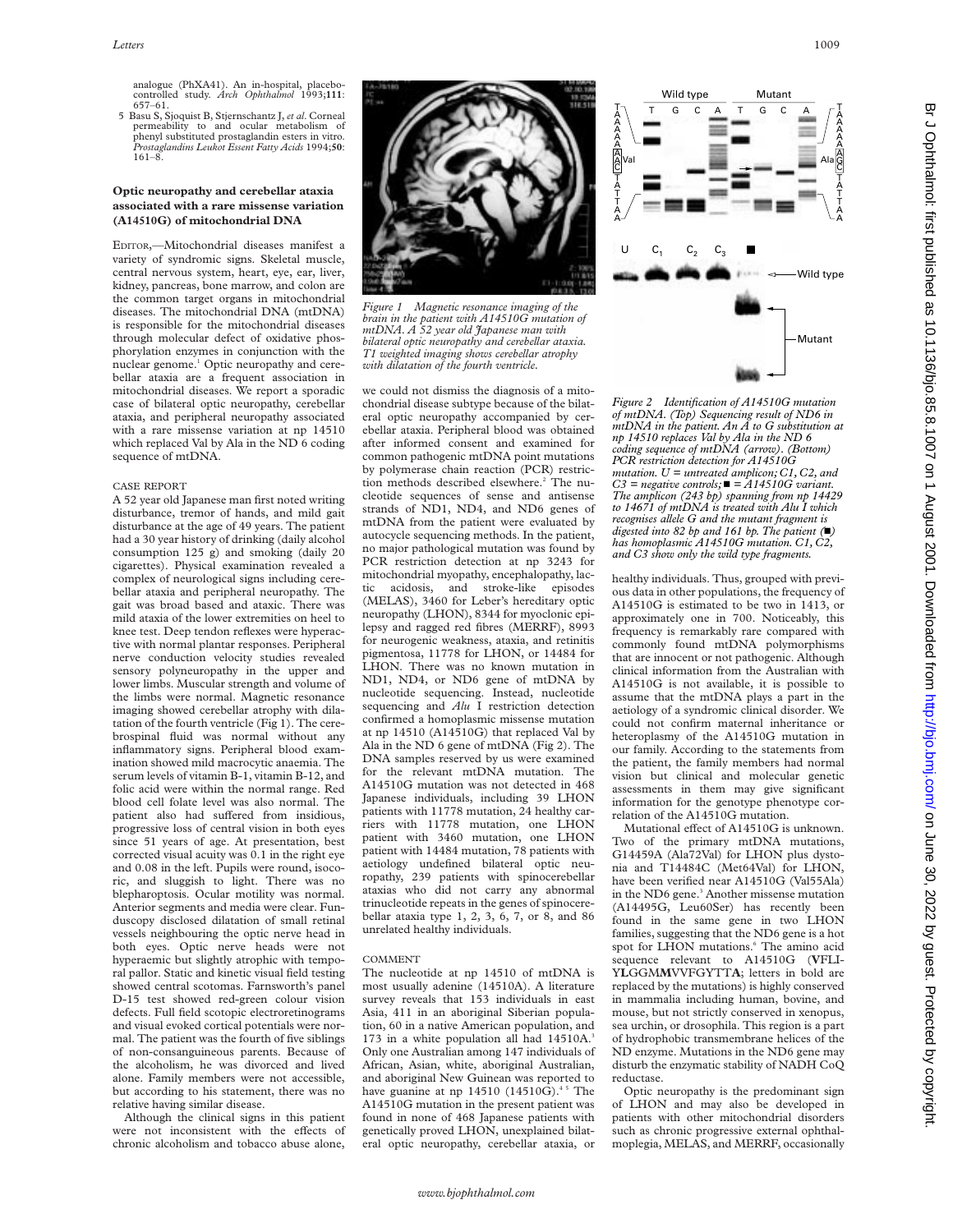analogue (PhXA41). An in-hospital, placebo-controlled study. *Arch Ophthalmol* 1993;**111**: 657–61.

5 Basu S, Sjoquist B, Stjernschantz J, *et al*. Corneal permeability to and ocular metabolism of phenyl substituted prostaglandin esters in vitro. *Prostaglandins Leukot Essent Fatty Acids* 1994;**50**: 161–8.

# **Optic neuropathy and cerebellar ataxia associated with a rare missense variation (A14510G) of mitochondrial DNA**

EDITOR,—Mitochondrial diseases manifest a variety of syndromic signs. Skeletal muscle, central nervous system, heart, eye, ear, liver, kidney, pancreas, bone marrow, and colon are the common target organs in mitochondrial diseases. The mitochondrial DNA (mtDNA) is responsible for the mitochondrial diseases through molecular defect of oxidative phosphorylation enzymes in conjunction with the nuclear genome.<sup>1</sup> Optic neuropathy and cerebellar ataxia are a frequent association in mitochondrial diseases. We report a sporadic case of bilateral optic neuropathy, cerebellar ataxia, and peripheral neuropathy associated with a rare missense variation at np 14510 which replaced Val by Ala in the ND 6 coding sequence of mtDNA.

## CASE REPORT

A 52 year old Japanese man first noted writing disturbance, tremor of hands, and mild gait disturbance at the age of 49 years. The patient had a 30 year history of drinking (daily alcohol consumption 125 g) and smoking (daily 20 cigarettes). Physical examination revealed a complex of neurological signs including cerebellar ataxia and peripheral neuropathy. The gait was broad based and ataxic. There was mild ataxia of the lower extremities on heel to knee test. Deep tendon reflexes were hyperactive with normal plantar responses. Peripheral nerve conduction velocity studies revealed sensory polyneuropathy in the upper and lower limbs. Muscular strength and volume of the limbs were normal. Magnetic resonance imaging showed cerebellar atrophy with dilatation of the fourth ventricle (Fig 1). The cerebrospinal fluid was normal without any inflammatory signs. Peripheral blood examination showed mild macrocytic anaemia. The serum levels of vitamin B-1, vitamin B-12, and folic acid were within the normal range. Red blood cell folate level was also normal. The patient also had suffered from insidious, progressive loss of central vision in both eyes since 51 years of age. At presentation, best corrected visual acuity was 0.1 in the right eye and 0.08 in the left. Pupils were round, isocoric, and sluggish to light. There was no blepharoptosis. Ocular motility was normal. Anterior segments and media were clear. Funduscopy disclosed dilatation of small retinal vessels neighbouring the optic nerve head in both eyes. Optic nerve heads were not hyperaemic but slightly atrophic with temporal pallor. Static and kinetic visual field testing showed central scotomas. Farnsworth's panel D-15 test showed red-green colour vision defects. Full field scotopic electroretinograms and visual evoked cortical potentials were normal. The patient was the fourth of five siblings of non-consanguineous parents. Because of the alcoholism, he was divorced and lived alone. Family members were not accessible, but according to his statement, there was no relative having similar disease.

Although the clinical signs in this patient were not inconsistent with the effects of chronic alcoholism and tobacco abuse alone,



*Figure 1 Magnetic resonance imaging of the brain in the patient with A14510G mutation of mtDNA. A 52 year old Japanese man with bilateral optic neuropathy and cerebellar ataxia. T1 weighted imaging shows cerebellar atrophy with dilatation of the fourth ventricle.*

we could not dismiss the diagnosis of a mitochondrial disease subtype because of the bilateral optic neuropathy accompanied by cerebellar ataxia. Peripheral blood was obtained after informed consent and examined for common pathogenic mtDNA point mutations by polymerase chain reaction (PCR) restriction methods described elsewhere.<sup>2</sup> The nucleotide sequences of sense and antisense strands of ND1, ND4, and ND6 genes of mtDNA from the patient were evaluated by autocycle sequencing methods. In the patient, no major pathological mutation was found by PCR restriction detection at np 3243 for mitochondrial myopathy, encephalopathy, lactic acidosis, and stroke-like episodes (MELAS), 3460 for Leber's hereditary optic neuropathy (LHON), 8344 for myoclonic epilepsy and ragged red fibres (MERRF), 8993 for neurogenic weakness, ataxia, and retinitis pigmentosa, 11778 for LHON, or 14484 for LHON. There was no known mutation in ND1, ND4, or ND6 gene of mtDNA by nucleotide sequencing. Instead, nucleotide sequencing and *Alu* I restriction detection confirmed a homoplasmic missense mutation at np 14510 (A14510G) that replaced Val by Ala in the ND 6 gene of mtDNA (Fig 2). The DNA samples reserved by us were examined for the relevant mtDNA mutation. The A14510G mutation was not detected in 468 Japanese individuals, including 39 LHON patients with 11778 mutation, 24 healthy carriers with 11778 mutation, one LHON patient with 3460 mutation, one LHON patient with 14484 mutation, 78 patients with aetiology undefined bilateral optic neuropathy, 239 patients with spinocerebellar ataxias who did not carry any abnormal trinucleotide repeats in the genes of spinocerebellar ataxia type 1, 2, 3, 6, 7, or 8, and 86 unrelated healthy individuals.

## COMMENT

The nucleotide at np 14510 of mtDNA is most usually adenine (14510A). A literature survey reveals that 153 individuals in east Asia, 411 in an aboriginal Siberian population, 60 in a native American population, and 173 in a white population all had 14510A.<sup>3</sup> Only one Australian among 147 individuals of African, Asian, white, aboriginal Australian, and aboriginal New Guinean was reported to have guanine at np  $14510$  (14510G).<sup>45</sup> The A14510G mutation in the present patient was found in none of 468 Japanese patients with genetically proved LHON, unexplained bilateral optic neuropathy, cerebellar ataxia, or



*Figure 2 Identification of A14510G mutation of mtDNA. (Top) Sequencing result of ND6 in mtDNA in the patient. An A to G substitution at np 14510 replaces Val by Ala in the ND 6 coding sequence of mtDNA (arrow). (Bottom) PCR restriction detection for A14510G mutation. U = untreated amplicon; C1, C2, and*  $C3$  = negative controls;  $\blacksquare$  =  $A14510G$  variant. *The amplicon (243 bp) spanning from np 14429 to 14671 of mtDNA is treated with Alu I which recognises allele G and the mutant fragment is digested into 82 bp and 161 bp. The patient (*n*) has homoplasmic A14510G mutation. C1, C2, and C3 show only the wild type fragments.*

healthy individuals. Thus, grouped with previous data in other populations, the frequency of A14510G is estimated to be two in 1413, or approximately one in 700. Noticeably, this frequency is remarkably rare compared with commonly found mtDNA polymorphisms that are innocent or not pathogenic. Although clinical information from the Australian with A14510G is not available, it is possible to assume that the mtDNA plays a part in the aetiology of a syndromic clinical disorder. We could not confirm maternal inheritance or heteroplasmy of the A14510G mutation in our family. According to the statements from the patient, the family members had normal vision but clinical and molecular genetic assessments in them may give significant information for the genotype phenotype correlation of the A14510G mutation.

Mutational effect of A14510G is unknown. Two of the primary mtDNA mutations, G14459A (Ala72Val) for LHON plus dystonia and T14484C (Met64Val) for LHON, have been verified near A14510G (Val55Ala) in the ND6 gene.<sup>3</sup> Another missense mutation (A14495G, Leu60Ser) has recently been found in the same gene in two LHON families, suggesting that the ND6 gene is a hot spot for LHON mutations.<sup>6</sup> The amino acid sequence relevant to A14510G (**V**FLI-Y**L**GGM**M**VVFGYTT**A**; letters in bold are replaced by the mutations) is highly conserved in mammalia including human, bovine, and mouse, but not strictly conserved in xenopus, sea urchin, or drosophila. This region is a part of hydrophobic transmembrane helices of the ND enzyme. Mutations in the ND6 gene may disturb the enzymatic stability of NADH CoQ reductase.

Optic neuropathy is the predominant sign of LHON and may also be developed in patients with other mitochondrial disorders such as chronic progressive external ophthalmoplegia, MELAS, and MERRF, occasionally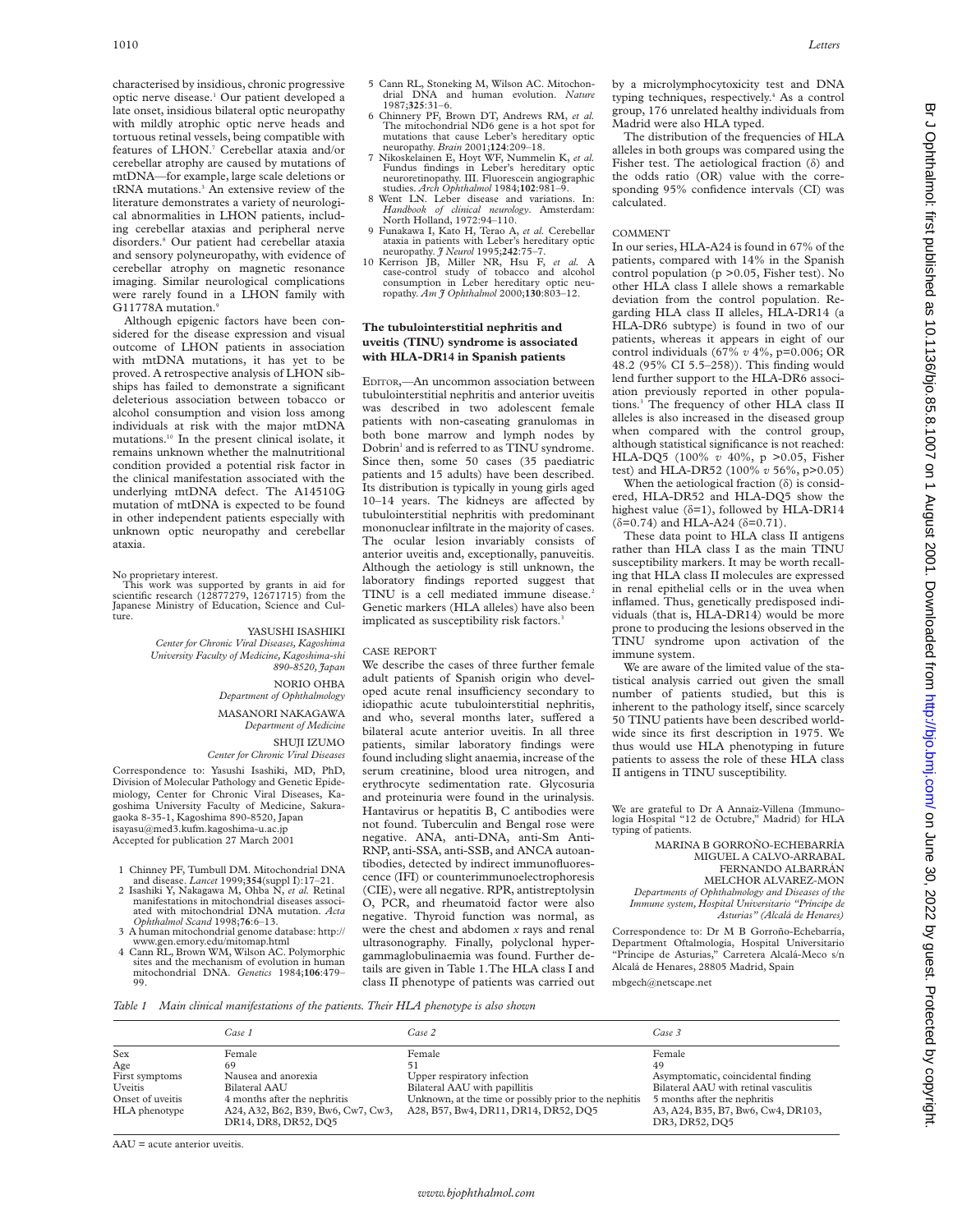characterised by insidious, chronic progressive optic nerve disease.1 Our patient developed a late onset, insidious bilateral optic neuropathy with mildly atrophic optic nerve heads and tortuous retinal vessels, being compatible with features of LHON.<sup>7</sup> Cerebellar ataxia and/or cerebellar atrophy are caused by mutations of mtDNA—for example, large scale deletions or tRNA mutations.<sup>3</sup> An extensive review of the literature demonstrates a variety of neurological abnormalities in LHON patients, including cerebellar ataxias and peripheral nerve disorders.8 Our patient had cerebellar ataxia and sensory polyneuropathy, with evidence of cerebellar atrophy on magnetic resonance imaging. Similar neurological complications were rarely found in a LHON family with G11778A mutation.9

Although epigenic factors have been considered for the disease expression and visual outcome of LHON patients in association with mtDNA mutations, it has yet to be proved. A retrospective analysis of LHON sibships has failed to demonstrate a significant deleterious association between tobacco or alcohol consumption and vision loss among individuals at risk with the major mtDNA mutations.10 In the present clinical isolate, it remains unknown whether the malnutritional condition provided a potential risk factor in the clinical manifestation associated with the underlying mtDNA defect. The A14510G mutation of mtDNA is expected to be found in other independent patients especially with unknown optic neuropathy and cerebellar ataxia.

#### No proprietary interest.

This work was supported by grants in aid for scientific research (12877279, 12671715) from the Japanese Ministry of Education, Science and Culture.

## YASUSHI ISASHIKI

*Center for Chronic Viral Diseases, Kagoshima University Faculty of Medicine, Kagoshima-shi 890-8520, Japan*

NORIO OHBA

*Department of Ophthalmology* MASANORI NAKAGAWA *Department of Medicine*

## SHUJI IZUMO

*Center for Chronic Viral Diseases*

Correspondence to: Yasushi Isashiki, MD, PhD, Division of Molecular Pathology and Genetic Epidemiology, Center for Chronic Viral Diseases, Kagoshima University Faculty of Medicine, Sakuragaoka 8-35-1, Kagoshima 890-8520, Japan isayasu@med3.kufm.kagoshima-u.ac.jp Accepted for publication 27 March 2001

- 1 Chinney PF, Tumbull DM. Mitochondrial DNA
- and disease. *Lancet* 1999;**354**(suppl I):17–21. 2 Isashiki Y, Nakagawa M, Ohba N, *et al.* Retinal manifestations in mitochondrial diseases associated with mitochondrial DNA mutation. *Acta Ophthalmol Scand* 1998;**76**:6–13.
- 3 A human mitochondrial genome database: http:// www.gen.emory.edu/mitomap.html
- 4 Cann RL, Brown WM, Wilson AC. Polymorphic sites and the mechanism of evolution in human mitochondrial DNA. *Genetics* 1984;**106**:479– 99.
- 6 Chinnery PF, Brown DT, Andrews RM, *et al.* The mitochondrial ND6 gene is a hot spot for mutations that cause Leber's hereditary optic neuropathy. *Brain* 2001;**124**:209–18.
- 7 Nikoskelainen E, Hoyt WF, Nummelin K, *et al.* Fundus findings in Leber's hereditary optic neuroretinopathy. III. Fluorescein angiographic studies. *Arch Ophthalmol* 1984;**102**:981–9.
- 8 Went LN. Leber disease and variations. In: *Handbook of clinical neurology*. Amsterdam: North Holland, 1972:94–110.
- 9 Funakawa I, Kato H, Terao A, *et al.* Cerebellar ataxia in patients with Leber's hereditary optic neuropathy. *J Neurol* 1995;**242**:75–7.
- 10 Kerrison JB, Miller NR, Hsu F, *et al.* A case-control study of tobacco and alcohol consumption in Leber hereditary optic neuropathy. *Am J Ophthalmol* 2000;**130**:803–12.

# **The tubulointerstitial nephritis and uveitis (TINU) syndrome is associated with HLA-DR14 in Spanish patients**

EDITOR,—An uncommon association between tubulointerstitial nephritis and anterior uveitis was described in two adolescent female patients with non-caseating granulomas in both bone marrow and lymph nodes by Dobrin<sup>1</sup> and is referred to as TINU syndrome. Since then, some 50 cases (35 paediatric patients and 15 adults) have been described. Its distribution is typically in young girls aged  $10-14$  years. The kidneys are affected by tubulointerstitial nephritis with predominant mononuclear infiltrate in the majority of cases. The ocular lesion invariably consists of anterior uveitis and, exceptionally, panuveitis. Although the aetiology is still unknown, the laboratory findings reported suggest that TINU is a cell mediated immune disease.<sup>2</sup> Genetic markers (HLA alleles) have also been implicated as susceptibility risk factors.<sup>3</sup>

## CASE REPORT

We describe the cases of three further female adult patients of Spanish origin who developed acute renal insufficiency secondary to idiopathic acute tubulointerstitial nephritis, and who, several months later, suffered a bilateral acute anterior uveitis. In all three patients, similar laboratory findings were found including slight anaemia, increase of the serum creatinine, blood urea nitrogen, and erythrocyte sedimentation rate. Glycosuria and proteinuria were found in the urinalysis. Hantavirus or hepatitis B, C antibodies were not found. Tuberculin and Bengal rose were negative. ANA, anti-DNA, anti-Sm Anti-RNP, anti-SSA, anti-SSB, and ANCA autoantibodies, detected by indirect immunofluorescence (IFI) or counterimmunoelectrophoresis (CIE), were all negative. RPR, antistreptolysin O, PCR, and rheumatoid factor were also negative. Thyroid function was normal, as were the chest and abdomen *x* rays and renal ultrasonography. Finally, polyclonal hypergammaglobulinaemia was found. Further details are given in Table 1.The HLA class I and class II phenotype of patients was carried out

by a microlymphocytoxicity test and DNA typing techniques, respectively.<sup>4</sup> As a control group, 176 unrelated healthy individuals from Madrid were also HLA typed.

The distribution of the frequencies of HLA alleles in both groups was compared using the Fisher test. The aetiological fraction (ä) and the odds ratio (OR) value with the corresponding 95% confidence intervals (CI) was calculated.

## COMMENT

In our series, HLA-A24 is found in 67% of the patients, compared with 14% in the Spanish control population (p >0.05, Fisher test). No other HLA class I allele shows a remarkable deviation from the control population. Regarding HLA class II alleles, HLA-DR14 (a HLA-DR6 subtype) is found in two of our patients, whereas it appears in eight of our control individuals (67% *v* 4%, p=0.006; OR 48.2 (95% CI 5.5–258)). This finding would lend further support to the HLA-DR6 association previously reported in other populations.3 The frequency of other HLA class II alleles is also increased in the diseased group when compared with the control group, although statistical significance is not reached: HLA-DQ5 (100% *v* 40%, p >0.05, Fisher test) and HLA-DR52 (100% *v* 56%, p>0.05)

When the aetiological fraction  $(\delta)$  is considered, HLA-DR52 and HLA-DQ5 show the highest value  $(\delta=1)$ , followed by HLA-DR14  $(\delta = 0.74)$  and HLA-A24  $(\delta = 0.71)$ .

These data point to HLA class II antigens rather than HLA class I as the main TINU susceptibility markers. It may be worth recalling that HLA class II molecules are expressed in renal epithelial cells or in the uvea when inflamed. Thus, genetically predisposed individuals (that is, HLA-DR14) would be more prone to producing the lesions observed in the TINU syndrome upon activation of the immune system.

We are aware of the limited value of the statistical analysis carried out given the small number of patients studied, but this is inherent to the pathology itself, since scarcely 50 TINU patients have been described worldwide since its first description in 1975. We thus would use HLA phenotyping in future patients to assess the role of these HLA class II antigens in TINU susceptibility.

We are grateful to Dr A Annaiz-Villena (Immuno-logia Hospital "12 de Octubre," Madrid) for HLA typing of patients.

MARINA B GORROÑO-ECHEBARRÍA MIGUEL A CALVO-ARRABAL FERNANDO ALBARRÁN MELCHOR ALVAREZ-MON *Departments of Ophthalmology and Diseases of the Immune system, Hospital Universitario "Príncipe de Asturias" (Alcalá de Henares)*

Correspondence to: Dr M B Gorroño-Echebarría, Department Oftalmología, Hospital Universitario "Príncipe de Asturias," Carretera Alcalá-Meco s/n Alcalá de Henares, 28805 Madrid, Spain mbgech@netscape.net

*Table 1 Main clinical manifestations of the patients. Their HLA phenotype is also shown*

|                  | Case 1                                                     | Case 2                                                 | Case 3                                               |
|------------------|------------------------------------------------------------|--------------------------------------------------------|------------------------------------------------------|
| Sex              | Female                                                     | Female                                                 | Female                                               |
| Age              | 69                                                         |                                                        | 49                                                   |
| First symptoms   | Nausea and anorexia                                        | Upper respiratory infection                            | Asymptomatic, coincidental finding                   |
| Uveitis          | Bilateral AAU                                              | Bilateral AAU with papillitis                          | Bilateral AAU with retinal vasculitis                |
| Onset of uveitis | 4 months after the nephritis                               | Unknown, at the time or possibly prior to the nephitis | 5 months after the nephritis                         |
| HLA phenotype    | A24, A32, B62, B39, Bw6, Cw7, Cw3,<br>DR14, DR8, DR52, DQ5 | A28, B57, Bw4, DR11, DR14, DR52, DQ5                   | A3, A24, B35, B7, Bw6, Cw4, DR103,<br>DR3, DR52, DQ5 |

AAU = acute anterior uveitis.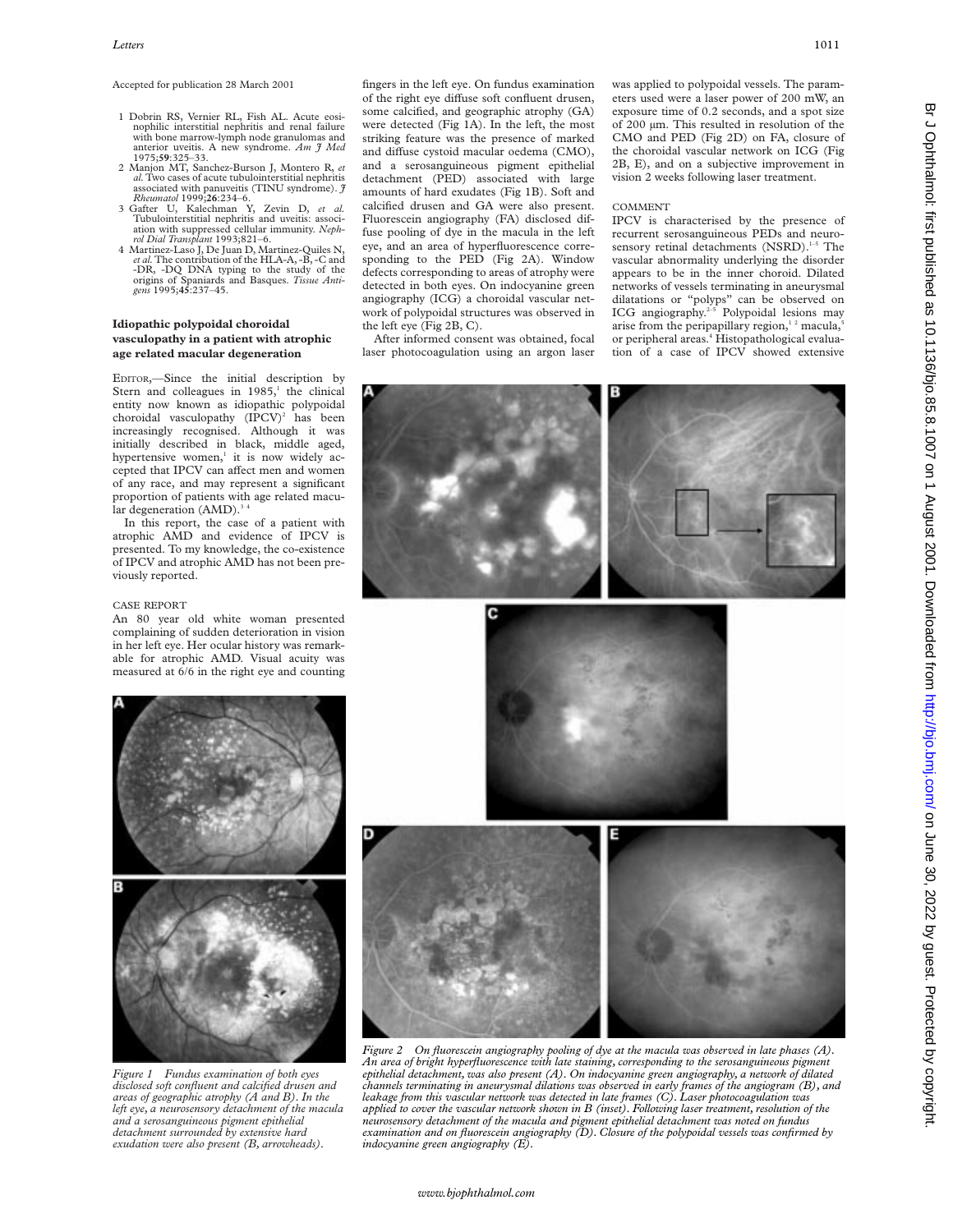Accepted for publication 28 March 2001

- 1 Dobrin RS, Vernier RL, Fish AL. Acute eosinophilic interstitial nephritis and renal failure with bone marrow-lymph node granulomas and anterior uveitis. A new syndrome. *Am J Med* 1975;**59**:325–33.
- 2 Manjon MT, Sanchez-Burson J, Montero R, *et al.*Two cases of acute tubulointerstitial nephritis associated with panuveitis (TINU syndrome). *J Rheumatol* 1999;**26**:234–6. 3 Gafter U, Kalechman Y, Zevin D, *et al.*
- Tubulointerstitial nephritis and uveitis: associ-ation with suppressed cellular immunity. *Neph-rol Dial Transplant* 1993;821–6.
- 4 Martinez-Laso J, De Juan D, Martinez-Quiles N, *et al.*The contribution of the HLA-A, -B, -C and -DR, -DQ DNA typing to the study of the origins of Spaniards and Basques. *Tissue Antigens* 1995;**45**:237–45.

# **Idiopathic polypoidal choroidal vasculopathy in a patient with atrophic age related macular degeneration**

EDITOR,—Since the initial description by Stern and colleagues in  $1985$ ,<sup>1</sup> the clinical entity now known as idiopathic polypoidal choroidal vasculopathy  $(IPCV)^2$  has been increasingly recognised. Although it was initially described in black, middle aged, hypertensive women, $\frac{1}{1}$  it is now widely accepted that IPCV can affect men and women of any race, and may represent a significant proportion of patients with age related macular degeneration  $(AMD).$ <sup>3</sup>

In this report, the case of a patient with atrophic AMD and evidence of IPCV is presented. To my knowledge, the co-existence of IPCV and atrophic AMD has not been previously reported.

# CASE REPORT

An 80 year old white woman presented complaining of sudden deterioration in vision in her left eye. Her ocular history was remarkable for atrophic AMD. Visual acuity was measured at 6/6 in the right eye and counting



*Figure 1 Fundus examination of both eyes disclosed soft confluent and calcified drusen and areas of geographic atrophy (A and B). In the left eye, a neurosensory detachment of the macula and a serosanguineous pigment epithelial detachment surrounded by extensive hard exudation were also present (B, arrowheads).*

fingers in the left eye. On fundus examination of the right eye diffuse soft confluent drusen, some calcified, and geographic atrophy (GA) were detected (Fig 1A). In the left, the most striking feature was the presence of marked and diffuse cystoid macular oedema (CMO), and a serosanguineous pigment epithelial detachment (PED) associated with large amounts of hard exudates (Fig 1B). Soft and calcified drusen and GA were also present. Fluorescein angiography (FA) disclosed diffuse pooling of dye in the macula in the left eye, and an area of hyperfluorescence corresponding to the PED (Fig 2A). Window defects corresponding to areas of atrophy were detected in both eyes. On indocyanine green angiography (ICG) a choroidal vascular network of polypoidal structures was observed in the left eye (Fig 2B, C).

After informed consent was obtained, focal laser photocoagulation using an argon laser was applied to polypoidal vessels. The parameters used were a laser power of 200 mW, an exposure time of 0.2 seconds, and a spot size of 200 µm. This resulted in resolution of the CMO and PED (Fig 2D) on FA, closure of the choroidal vascular network on ICG (Fig 2B, E), and on a subjective improvement in vision 2 weeks following laser treatment.

## COMMENT

IPCV is characterised by the presence of recurrent serosanguineous PEDs and neurosensory retinal detachments (NSRD).<sup>1-5</sup> The vascular abnormality underlying the disorder appears to be in the inner choroid. Dilated networks of vessels terminating in aneurysmal dilatations or "polyps" can be observed on ICG angiography.<sup>2-5</sup> Polypoidal lesions may arise from the peripapillary region,<sup>12</sup> macula,<sup>5</sup> or peripheral areas.<sup>4</sup> Histopathological evaluation of a case of IPCV showed extensive



*Figure 2 On fluorescein angiography pooling of dye at the macula was observed in late phases (A). An area of bright hyperfluorescence with late staining, corresponding to the serosanguineous pigment epithelial detachment, was also present (A). On indocyanine green angiography, a network of dilated channels terminating in aneurysmal dilations was observed in early frames of the angiogram (B), and leakage from this vascular network was detected in late frames (C). Laser photocoagulation was applied to cover the vascular network shown in B (inset). Following laser treatment, resolution of the neurosensory detachment of the macula and pigment epithelial detachment was noted on fundus examination and on fluorescein angiography (D). Closure of the polypoidal vessels was confirmed by indocyanine green angiography (E).*